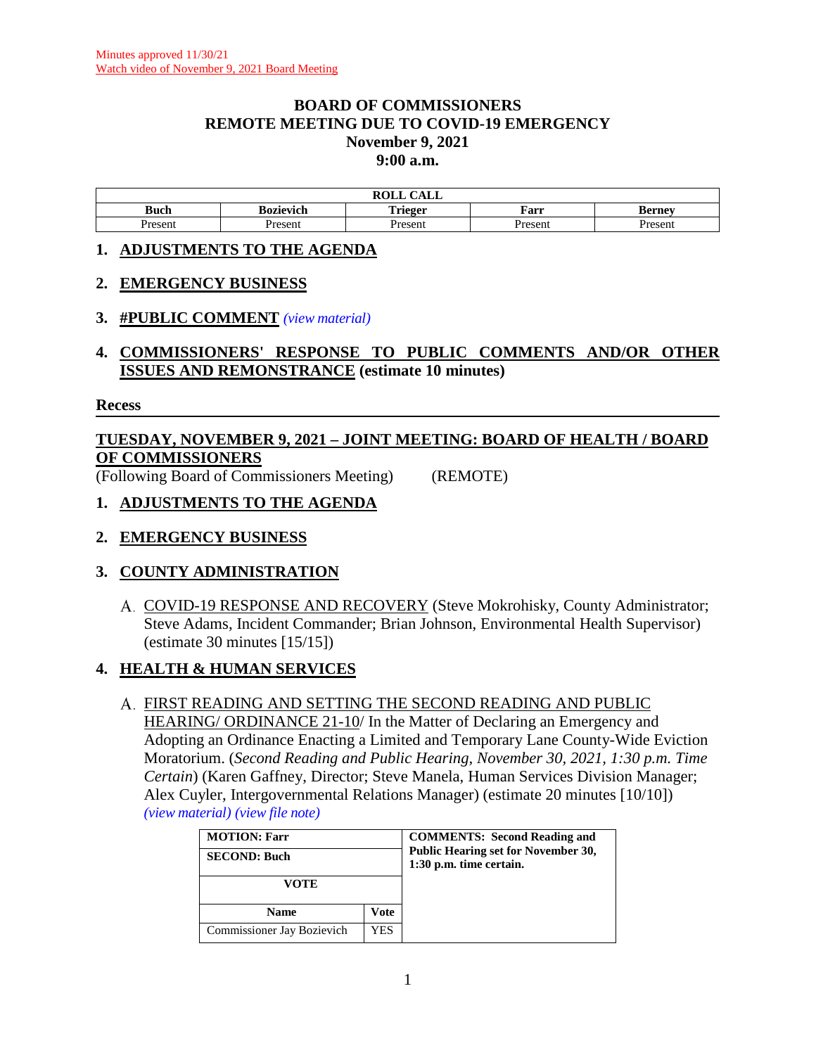#### **BOARD OF COMMISSIONERS REMOTE MEETING DUE TO COVID-19 EMERGENCY November 9, 2021 9:00 a.m.**

| $\sim$ $\sim$ $\sim$<br>$\mathbf{M}$<br><b>KOLL</b><br>САЫС |           |                 |         |                       |  |
|-------------------------------------------------------------|-----------|-----------------|---------|-----------------------|--|
| Buch                                                        | Bozievich | m. .<br>`rieger | Farr    | Bernev                |  |
| resent                                                      | Present   | resen           | Present | <i>r</i> acan<br>эсн. |  |

#### **1. ADJUSTMENTS TO THE AGENDA**

#### **2. EMERGENCY BUSINESS**

#### **3. #PUBLIC COMMENT** *(view [material\)](http://www.lanecountyor.gov/UserFiles/Servers/Server_3585797/File/Government/BCC/2021/2021_AGENDAS/110921agenda/T.3.pdf)*

**4. COMMISSIONERS' RESPONSE TO PUBLIC COMMENTS AND/OR OTHER ISSUES AND REMONSTRANCE (estimate 10 minutes)**

#### **Recess**

# **TUESDAY, NOVEMBER 9, 2021 – JOINT MEETING: BOARD OF HEALTH / BOARD OF COMMISSIONERS**

(Following Board of Commissioners Meeting) (REMOTE)

#### **1. ADJUSTMENTS TO THE AGENDA**

# **2. EMERGENCY BUSINESS**

# **3. COUNTY ADMINISTRATION**

A. COVID-19 RESPONSE AND RECOVERY (Steve Mokrohisky, County Administrator; Steve Adams, Incident Commander; Brian Johnson, Environmental Health Supervisor) (estimate 30 minutes [15/15])

# **4. HEALTH & HUMAN SERVICES**

#### FIRST READING AND SETTING THE SECOND READING AND PUBLIC HEARING/ ORDINANCE 21-10/ In the Matter of Declaring an Emergency and Adopting an Ordinance Enacting a Limited and Temporary Lane County-Wide Eviction Moratorium. (*Second Reading and Public Hearing, November 30, 2021, 1:30 p.m. Time Certain*) (Karen Gaffney, Director; Steve Manela, Human Services Division Manager; Alex Cuyler, Intergovernmental Relations Manager) (estimate 20 minutes [10/10])

*(view [material\)](http://www.lanecountyor.gov/UserFiles/Servers/Server_3585797/File/Government/BCC/2021/2021_AGENDAS/110921agenda/T.4.A.pdf) (view [file note\)](http://www.lanecountyor.gov/UserFiles/Servers/Server_3585797/File/Government/BCC/2021/2021_AGENDAS/110921agenda/T.7.AFile.pdf)*

| <b>MOTION: Farr</b><br><b>SECOND: Buch</b> |     | <b>COMMENTS:</b> Second Reading and<br>Public Hearing set for November 30,<br>1:30 p.m. time certain. |
|--------------------------------------------|-----|-------------------------------------------------------------------------------------------------------|
| VOTE                                       |     |                                                                                                       |
| <b>Name</b><br>Vote                        |     |                                                                                                       |
| Commissioner Jay Bozievich                 | YES |                                                                                                       |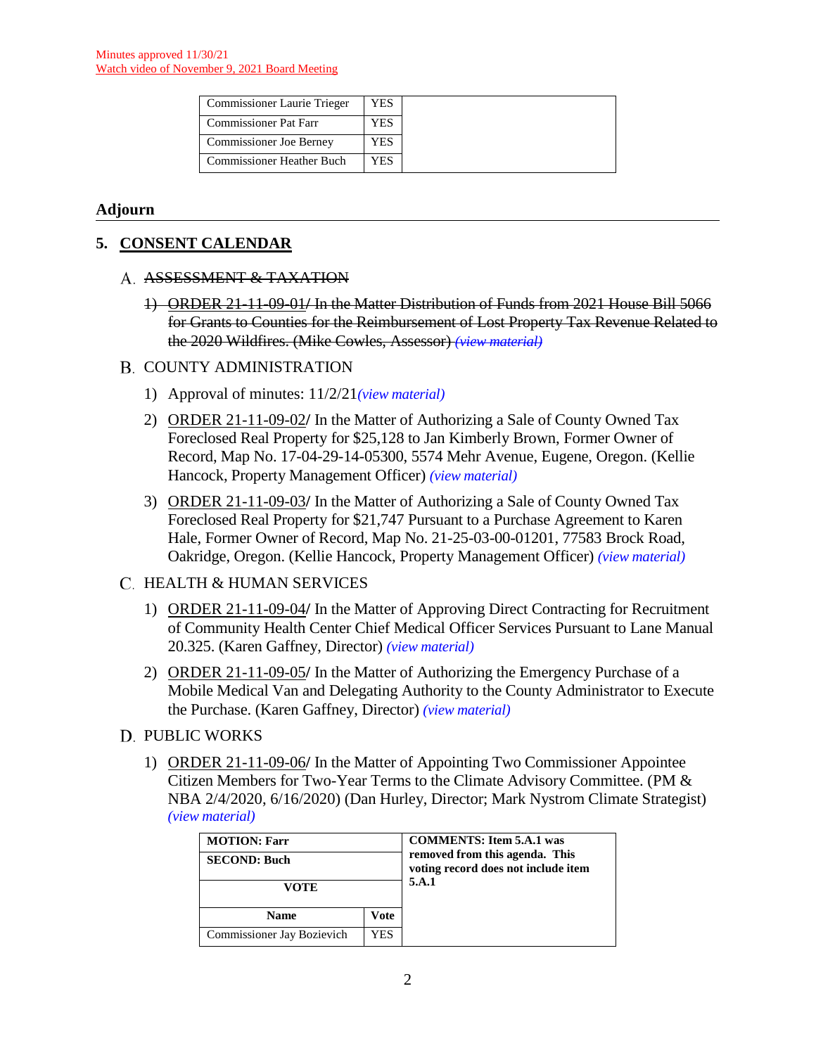| <b>Commissioner Laurie Trieger</b> | YES |
|------------------------------------|-----|
| <b>Commissioner Pat Farr</b>       | YES |
| Commissioner Joe Berney            | YES |
| <b>Commissioner Heather Buch</b>   | YES |

# **Adjourn**

# **5. CONSENT CALENDAR**

#### A. ASSESSMENT & TAXATION

1) ORDER 21-11-09-01**/** In the Matter Distribution of Funds from 2021 House Bill 5066 for Grants to Counties for the Reimbursement of Lost Property Tax Revenue Related to the 2020 Wildfires. (Mike Cowles, Assessor) *(view [material\)](http://www.lanecountyor.gov/UserFiles/Servers/Server_3585797/File/Government/BCC/2021/2021_AGENDAS/110921agenda/T.5.A.1.pdf)*

# B. COUNTY ADMINISTRATION

- 1) Approval of minutes: 11/2/21*(view [material\)](http://www.lanecountyor.gov/UserFiles/Servers/Server_3585797/File/Government/BCC/2021/2021_AGENDAS/110921agenda/T.5.B.1.pdf)*
- 2) ORDER 21-11-09-02**/** In the Matter of Authorizing a Sale of County Owned Tax Foreclosed Real Property for \$25,128 to Jan Kimberly Brown, Former Owner of Record, Map No. 17-04-29-14-05300, 5574 Mehr Avenue, Eugene, Oregon. (Kellie Hancock, Property Management Officer) *(view [material\)](http://www.lanecountyor.gov/UserFiles/Servers/Server_3585797/File/Government/BCC/2021/2021_AGENDAS/110921agenda/T.5.B.2.pdf)*
- 3) ORDER 21-11-09-03**/** In the Matter of Authorizing a Sale of County Owned Tax Foreclosed Real Property for \$21,747 Pursuant to a Purchase Agreement to Karen Hale, Former Owner of Record, Map No. 21-25-03-00-01201, 77583 Brock Road, Oakridge, Oregon. (Kellie Hancock, Property Management Officer) *(view [material\)](http://www.lanecountyor.gov/UserFiles/Servers/Server_3585797/File/Government/BCC/2021/2021_AGENDAS/110921agenda/T.5.B.3.pdf)*

# C. HEALTH & HUMAN SERVICES

- 1) ORDER 21-11-09-04**/** In the Matter of Approving Direct Contracting for Recruitment of Community Health Center Chief Medical Officer Services Pursuant to Lane Manual 20.325. (Karen Gaffney, Director) *(view [material\)](http://www.lanecountyor.gov/UserFiles/Servers/Server_3585797/File/Government/BCC/2021/2021_AGENDAS/110921agenda/T.5.C.1.pdf)*
- 2) ORDER 21-11-09-05**/** In the Matter of Authorizing the Emergency Purchase of a Mobile Medical Van and Delegating Authority to the County Administrator to Execute the Purchase. (Karen Gaffney, Director) *(view [material\)](http://www.lanecountyor.gov/UserFiles/Servers/Server_3585797/File/Government/BCC/2021/2021_AGENDAS/110921agenda/T.5.C.2.pdf)*
- D. PUBLIC WORKS
	- 1) ORDER 21-11-09-06**/** In the Matter of Appointing Two Commissioner Appointee Citizen Members for Two-Year Terms to the Climate Advisory Committee. (PM & NBA 2/4/2020, 6/16/2020) (Dan Hurley, Director; Mark Nystrom Climate Strategist) *(view [material\)](http://www.lanecountyor.gov/UserFiles/Servers/Server_3585797/File/Government/BCC/2021/2021_AGENDAS/110921agenda/T.5.D.1.pdf)*

| <b>MOTION: Farr</b><br><b>SECOND: Buch</b> |  | <b>COMMENTS: Item 5.A.1 was</b><br>removed from this agenda. This<br>voting record does not include item<br>5.A.1 |
|--------------------------------------------|--|-------------------------------------------------------------------------------------------------------------------|
| VOTE                                       |  |                                                                                                                   |
| Vote<br><b>Name</b>                        |  |                                                                                                                   |
| Commissioner Jay Bozievich<br>YES          |  |                                                                                                                   |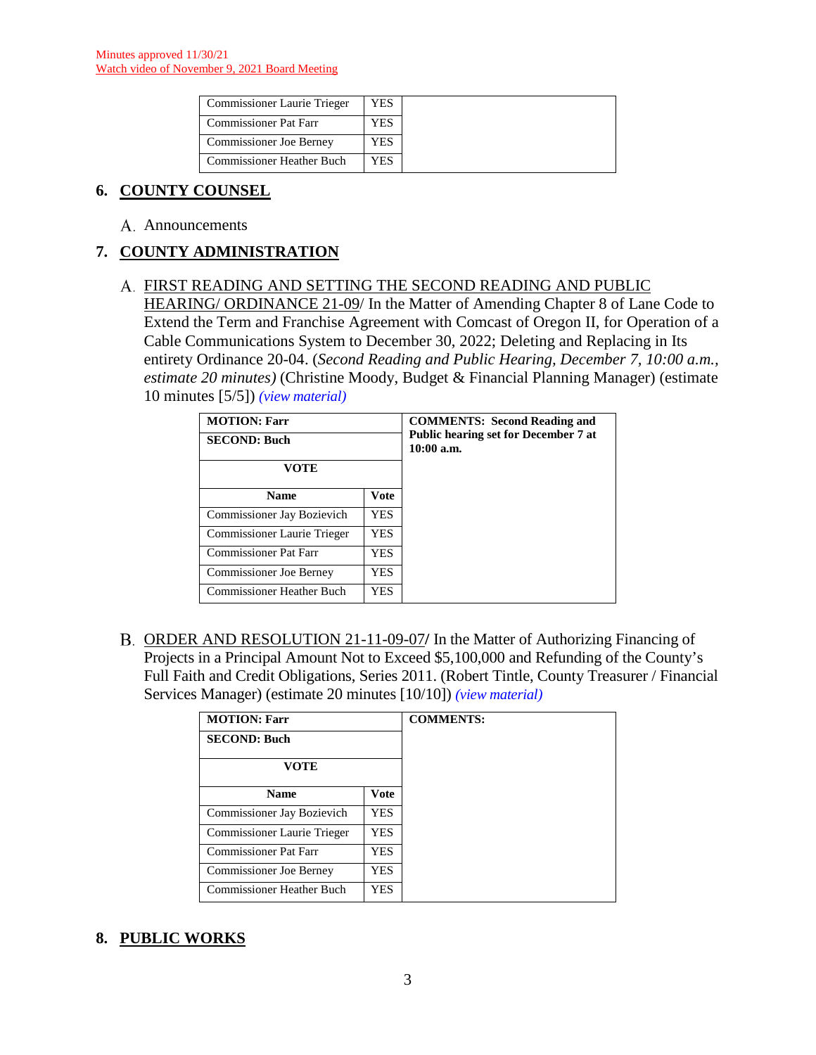| <b>Commissioner Laurie Trieger</b> | YES |
|------------------------------------|-----|
| <b>Commissioner Pat Farr</b>       | YES |
| Commissioner Joe Berney            | YES |
| <b>Commissioner Heather Buch</b>   | YES |

# **6. COUNTY COUNSEL**

A. Announcements

# **7. COUNTY ADMINISTRATION**

# FIRST READING AND SETTING THE SECOND READING AND PUBLIC

HEARING/ ORDINANCE 21-09/ In the Matter of Amending Chapter 8 of Lane Code to Extend the Term and Franchise Agreement with Comcast of Oregon II, for Operation of a Cable Communications System to December 30, 2022; Deleting and Replacing in Its entirety Ordinance 20-04. (*Second Reading and Public Hearing, December 7, 10:00 a.m., estimate 20 minutes)* (Christine Moody, Budget & Financial Planning Manager) (estimate 10 minutes [5/5]) *(view [material\)](http://www.lanecountyor.gov/UserFiles/Servers/Server_3585797/File/Government/BCC/2021/2021_AGENDAS/110921agenda/T.7.A.pdf)*

| <b>MOTION: Farr</b><br><b>SECOND: Buch</b><br>VOTE |      | <b>COMMENTS:</b> Second Reading and<br><b>Public hearing set for December 7 at</b><br>$10:00$ a.m. |
|----------------------------------------------------|------|----------------------------------------------------------------------------------------------------|
| <b>Name</b>                                        | Vote |                                                                                                    |
| <b>Commissioner Jay Bozievich</b>                  | YES. |                                                                                                    |
| Commissioner Laurie Trieger                        | YES. |                                                                                                    |
| Commissioner Pat Farr                              | YES. |                                                                                                    |
| <b>Commissioner Joe Berney</b>                     | YES  |                                                                                                    |
| <b>Commissioner Heather Buch</b>                   | YES. |                                                                                                    |

ORDER AND RESOLUTION 21-11-09-07**/** In the Matter of Authorizing Financing of Projects in a Principal Amount Not to Exceed \$5,100,000 and Refunding of the County's Full Faith and Credit Obligations, Series 2011. (Robert Tintle, County Treasurer / Financial Services Manager) (estimate 20 minutes [10/10]) *(view [material\)](http://www.lanecountyor.gov/UserFiles/Servers/Server_3585797/File/Government/BCC/2021/2021_AGENDAS/110921agenda/T.7.B.pdf)*

| <b>MOTION: Farr</b>            |            | <b>COMMENTS:</b> |
|--------------------------------|------------|------------------|
| <b>SECOND: Buch</b>            |            |                  |
| <b>VOTE</b>                    |            |                  |
| <b>Name</b>                    | Vote       |                  |
| Commissioner Jay Bozievich     | <b>YES</b> |                  |
| Commissioner Laurie Trieger    | <b>YES</b> |                  |
| <b>Commissioner Pat Farr</b>   | <b>YES</b> |                  |
| <b>Commissioner Joe Berney</b> | <b>YES</b> |                  |
| Commissioner Heather Buch      | YES        |                  |

# **8. PUBLIC WORKS**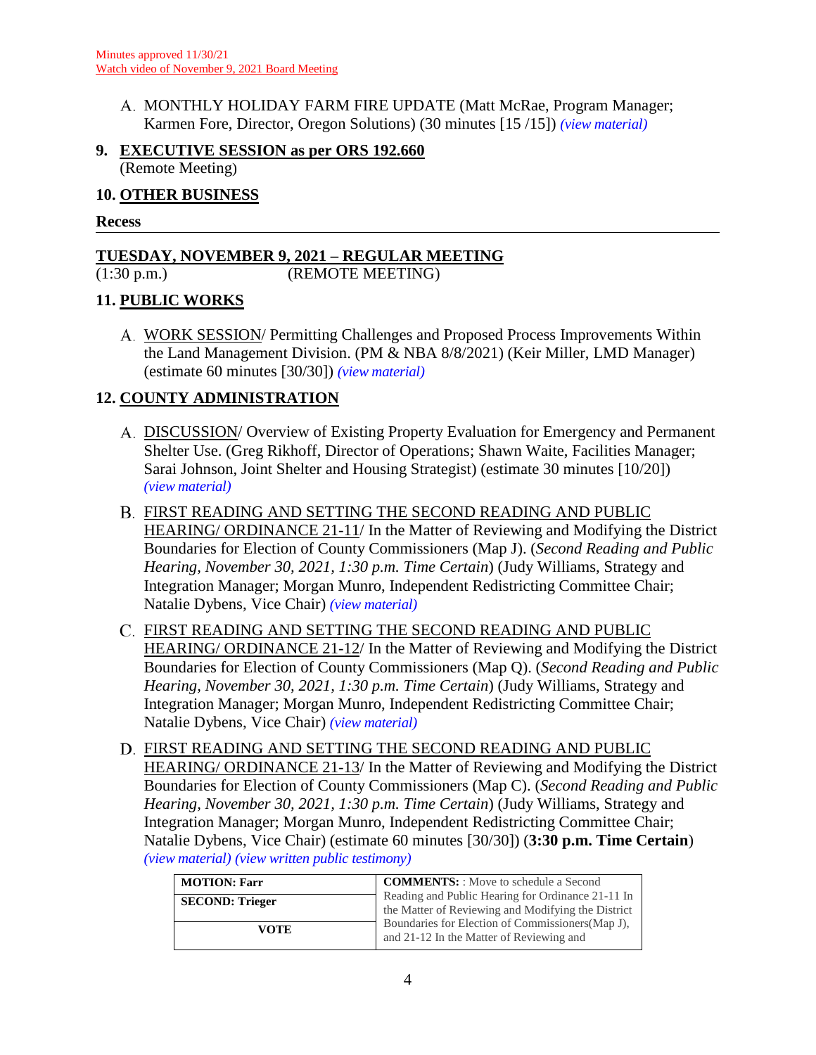MONTHLY HOLIDAY FARM FIRE UPDATE (Matt McRae, Program Manager; Karmen Fore, Director, Oregon Solutions) (30 minutes [15 /15]) *(view [material\)](http://www.lanecountyor.gov/UserFiles/Servers/Server_3585797/File/Government/BCC/2021/2021_AGENDAS/110921agenda/T.8.A.pdf)*

# **9. EXECUTIVE SESSION as per ORS 192.660** (Remote Meeting)

#### **10. OTHER BUSINESS**

#### **Recess**

# **TUESDAY, NOVEMBER 9, 2021 – REGULAR MEETING**

(REMOTE MEETING)

# **11. PUBLIC WORKS**

WORK SESSION/ Permitting Challenges and Proposed Process Improvements Within the Land Management Division. (PM & NBA 8/8/2021) (Keir Miller, LMD Manager) (estimate 60 minutes [30/30]) *(view [material\)](http://www.lanecountyor.gov/UserFiles/Servers/Server_3585797/File/Government/BCC/2021/2021_AGENDAS/110921agenda/T.11.A.pdf)*

# **12. COUNTY ADMINISTRATION**

- A. DISCUSSION/ Overview of Existing Property Evaluation for Emergency and Permanent Shelter Use. (Greg Rikhoff, Director of Operations; Shawn Waite, Facilities Manager; Sarai Johnson, Joint Shelter and Housing Strategist) (estimate 30 minutes [10/20]) *(view [material\)](http://www.lanecountyor.gov/UserFiles/Servers/Server_3585797/File/Government/BCC/2021/2021_AGENDAS/110921agenda/T.12.A.pdf)*
- FIRST READING AND SETTING THE SECOND READING AND PUBLIC HEARING/ ORDINANCE 21-11/ In the Matter of Reviewing and Modifying the District Boundaries for Election of County Commissioners (Map J). (*Second Reading and Public Hearing, November 30, 2021, 1:30 p.m. Time Certain*) (Judy Williams, Strategy and Integration Manager; Morgan Munro, Independent Redistricting Committee Chair; Natalie Dybens, Vice Chair) *(view [material\)](http://www.lanecountyor.gov/UserFiles/Servers/Server_3585797/File/Government/BCC/2021/2021_AGENDAS/110921agenda/T.12.B.pdf)*
- FIRST READING AND SETTING THE SECOND READING AND PUBLIC HEARING/ ORDINANCE 21-12/ In the Matter of Reviewing and Modifying the District Boundaries for Election of County Commissioners (Map Q). (*Second Reading and Public Hearing, November 30, 2021, 1:30 p.m. Time Certain*) (Judy Williams, Strategy and Integration Manager; Morgan Munro, Independent Redistricting Committee Chair; Natalie Dybens, Vice Chair) *(view [material\)](http://www.lanecountyor.gov/UserFiles/Servers/Server_3585797/File/Government/BCC/2021/2021_AGENDAS/110921agenda/T.12.C.pdf)*
- FIRST READING AND SETTING THE SECOND READING AND PUBLIC HEARING/ ORDINANCE 21-13/ In the Matter of Reviewing and Modifying the District Boundaries for Election of County Commissioners (Map C). (*Second Reading and Public Hearing, November 30, 2021, 1:30 p.m. Time Certain*) (Judy Williams, Strategy and Integration Manager; Morgan Munro, Independent Redistricting Committee Chair; Natalie Dybens, Vice Chair) (estimate 60 minutes [30/30]) (**3:30 p.m. Time Certain**) *(view [material\)](http://www.lanecountyor.gov/UserFiles/Servers/Server_3585797/File/Government/BCC/2021/2021_AGENDAS/110921agenda/T.12.D.pdf) (view [written public testimony\)](http://www.lanecountyor.gov/UserFiles/Servers/Server_3585797/File/Government/BCC/2021/2021_AGENDAS/110921agenda/T.12.W.pdf)*

| <b>MOTION: Farr</b>    | <b>COMMENTS:</b> : Move to schedule a Second<br>Reading and Public Hearing for Ordinance 21-11 In<br>the Matter of Reviewing and Modifying the District |  |
|------------------------|---------------------------------------------------------------------------------------------------------------------------------------------------------|--|
| <b>SECOND: Trieger</b> |                                                                                                                                                         |  |
| VOTE                   | Boundaries for Election of Commissioners (Map J),<br>and 21-12 In the Matter of Reviewing and                                                           |  |